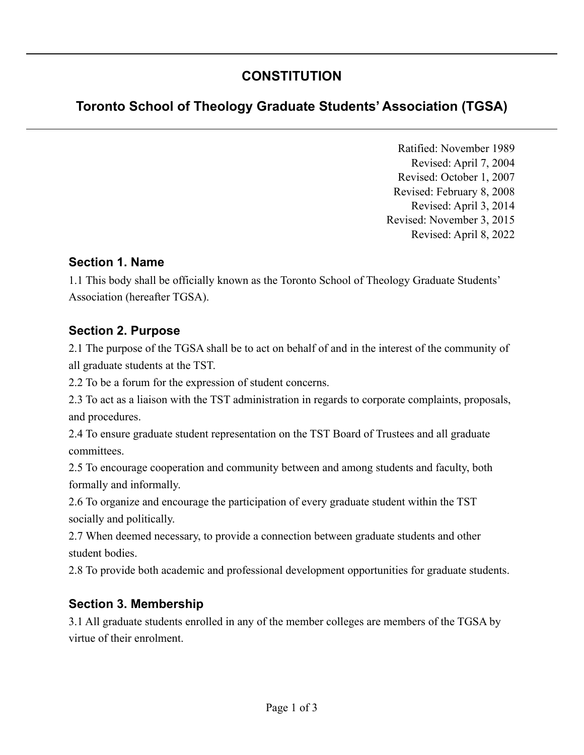# **CONSTITUTION**

# **Toronto School of Theology Graduate Students' Association (TGSA)**

Ratified: November 1989 Revised: April 7, 2004 Revised: October 1, 2007 Revised: February 8, 2008 Revised: April 3, 2014 Revised: November 3, 2015 Revised: April 8, 2022

#### **Section 1. Name**

1.1 This body shall be officially known as the Toronto School of Theology Graduate Students' Association (hereafter TGSA).

### **Section 2. Purpose**

2.1 The purpose of the TGSA shall be to act on behalf of and in the interest of the community of all graduate students at the TST.

2.2 To be a forum for the expression of student concerns.

2.3 To act as a liaison with the TST administration in regards to corporate complaints, proposals, and procedures.

2.4 To ensure graduate student representation on the TST Board of Trustees and all graduate committees.

2.5 To encourage cooperation and community between and among students and faculty, both formally and informally.

2.6 To organize and encourage the participation of every graduate student within the TST socially and politically.

2.7 When deemed necessary, to provide a connection between graduate students and other student bodies.

2.8 To provide both academic and professional development opportunities for graduate students.

### **Section 3. Membership**

3.1 All graduate students enrolled in any of the member colleges are members of the TGSA by virtue of their enrolment.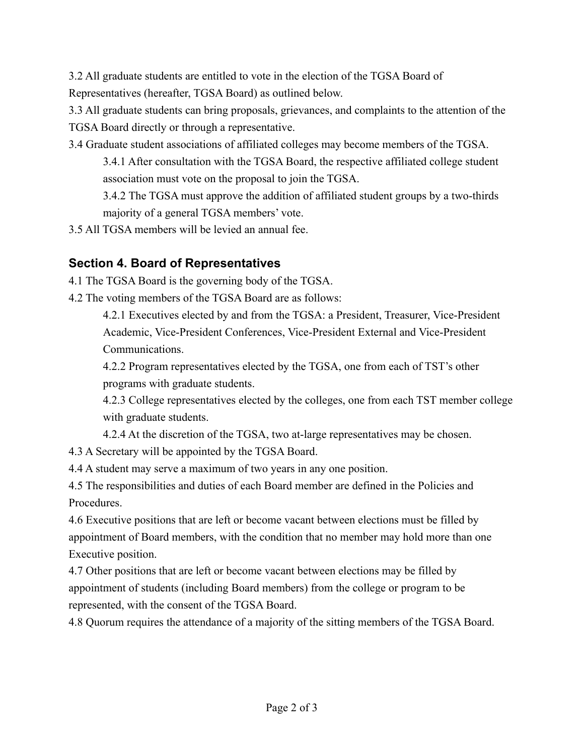3.2 All graduate students are entitled to vote in the election of the TGSA Board of Representatives (hereafter, TGSA Board) as outlined below.

3.3 All graduate students can bring proposals, grievances, and complaints to the attention of the TGSA Board directly or through a representative.

3.4 Graduate student associations of affiliated colleges may become members of the TGSA.

3.4.1 After consultation with the TGSA Board, the respective affiliated college student association must vote on the proposal to join the TGSA.

3.4.2 The TGSA must approve the addition of affiliated student groups by a two-thirds majority of a general TGSA members' vote.

3.5 All TGSA members will be levied an annual fee.

## **Section 4. Board of Representatives**

4.1 The TGSA Board is the governing body of the TGSA.

4.2 The voting members of the TGSA Board are as follows:

4.2.1 Executives elected by and from the TGSA: a President, Treasurer, Vice-President Academic, Vice-President Conferences, Vice-President External and Vice-President Communications.

4.2.2 Program representatives elected by the TGSA, one from each of TST's other programs with graduate students.

4.2.3 College representatives elected by the colleges, one from each TST member college with graduate students.

4.2.4 At the discretion of the TGSA, two at-large representatives may be chosen.

4.3 A Secretary will be appointed by the TGSA Board.

4.4 A student may serve a maximum of two years in any one position.

4.5 The responsibilities and duties of each Board member are defined in the Policies and Procedures.

4.6 Executive positions that are left or become vacant between elections must be filled by appointment of Board members, with the condition that no member may hold more than one Executive position.

4.7 Other positions that are left or become vacant between elections may be filled by appointment of students (including Board members) from the college or program to be represented, with the consent of the TGSA Board.

4.8 Quorum requires the attendance of a majority of the sitting members of the TGSA Board.